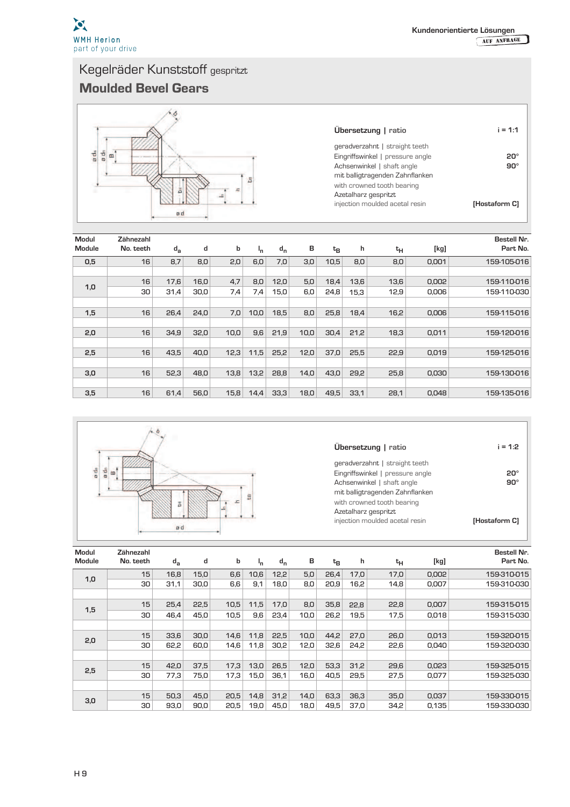

## Kegelräder Kunststoff gespritzt Moulded Bevel Gears



| Ubersetzung   ratio              | $i = 1:1$     |
|----------------------------------|---------------|
| geradverzahnt   straight teeth   |               |
| Eingriffswinkel   pressure angle | 20°           |
| Achsenwinkel   shaft angle       | a∩∘           |
| mit balligtragenden Zahnflanken  |               |
| with crowned tooth bearing       |               |
| Azetalharz gespritzt             |               |
| injection moulded acetal resin   | [Hostaform C] |

| Modul<br><b>Module</b> | Zähnezahl<br>No. teeth | $d_{\rm a}$ | d    | b    | Ι'n  | $d_{n}$ | в    | $t_{B}$ | h    | tн   | [kg]  | Bestell Nr.<br>Part No. |
|------------------------|------------------------|-------------|------|------|------|---------|------|---------|------|------|-------|-------------------------|
| 0,5                    | 16                     | 8,7         | 8,0  | 2,0  | 6,0  | 7,0     | 3,0  | 10.5    | 8,0  | 8,0  | 0,001 | 159-105-016             |
|                        |                        |             |      |      |      |         |      |         |      |      |       |                         |
|                        | 16                     | 17,6        | 16,0 | 4,7  | 8,0  | 12,0    | 5.0  | 18.4    | 13,6 | 13,6 | 0,002 | 159-110-016             |
| 1,0                    | 30                     | 31,4        | 30,0 | 7,4  | 7,4  | 15,0    | 6,0  | 24,8    | 15,3 | 12,9 | 0,006 | 159-110-030             |
|                        |                        |             |      |      |      |         |      |         |      |      |       |                         |
| 1,5                    | 16                     | 26,4        | 24,0 | 7,0  | 10,0 | 18.5    | 8,0  | 25.8    | 18,4 | 16,2 | 0,006 | 159-115-016             |
|                        |                        |             |      |      |      |         |      |         |      |      |       |                         |
| 2,0                    | 16                     | 34.9        | 32.0 | 10,0 | 9,6  | 21,9    | 10.0 | 30.4    | 21.2 | 18,3 | 0.011 | 159-120-016             |
|                        |                        |             |      |      |      |         |      |         |      |      |       |                         |
| 2,5                    | 16                     | 43,5        | 40,0 | 12,3 | 11,5 | 25,2    | 12,0 | 37,0    | 25,5 | 22,9 | 0,019 | 159-125-016             |
|                        |                        |             |      |      |      |         |      |         |      |      |       |                         |
| 3,0                    | 16                     | 52.3        | 48,0 | 13,8 | 13,2 | 28,8    | 14,0 | 43.0    | 29,2 | 25,8 | 0,030 | 159-130-016             |
|                        |                        |             |      |      |      |         |      |         |      |      |       |                         |
| 3,5                    | 16                     | 61,4        | 56.0 | 15,8 | 14,4 | 33,3    | 18,0 | 49,5    | 33,1 | 28,1 | 0,048 | 159-135-016             |



| <b>Ubersetzung</b>   ratio |  |
|----------------------------|--|
|                            |  |

| geradverzahnt   straight teeth   |               |
|----------------------------------|---------------|
| Eingriffswinkel   pressure angle |               |
| Achsenwinkel   shaft angle       | 90°           |
| mit balligtragenden Zahnflanken  |               |
| with crowned tooth bearing       |               |
| Azetalharz gespritzt             |               |
| injection moulded acetal resin   | [Hostaform C] |
|                                  |               |

**i = 1:2**

| Modul<br><b>Module</b> | Zähnezahl<br>No. teeth | $d_{a}$ | d    | b    | Ι'n  | $d_{n}$ | в    | $t_B$ | h    | $t_H$ | [kg]  | <b>Bestell Nr.</b><br>Part No. |
|------------------------|------------------------|---------|------|------|------|---------|------|-------|------|-------|-------|--------------------------------|
|                        | 15                     | 16,8    | 15.0 | 6,6  | 10,6 | 12,2    | 5,0  | 26,4  | 17,0 | 17,0  | 0,002 | 159-310-015                    |
| 1,0                    | 30                     | 31,1    | 30.0 | 6,6  | 9,1  | 18,0    | 8,0  | 20.9  | 16,2 | 14,8  | 0,007 | 159-310-030                    |
|                        |                        |         |      |      |      |         |      |       |      |       |       |                                |
|                        | 15                     | 25,4    | 22,5 | 10,5 | 11,5 | 17,0    | 8,0  | 35,8  | 22,8 | 22,8  | 0,007 | 159-315-015                    |
| 1,5                    | 30                     | 46.4    | 45.0 | 10,5 | 9,6  | 23,4    | 10,0 | 26,2  | 19,5 | 17,5  | 0,018 | 159-315-030                    |
|                        |                        |         |      |      |      |         |      |       |      |       |       |                                |
|                        | 15                     | 33,6    | 30,0 | 14,6 | 11,8 | 22,5    | 10,0 | 44,2  | 27,0 | 26,0  | 0,013 | 159-320-015                    |
| 2,0                    | 30                     | 62,2    | 60.0 | 14,6 | 11,8 | 30.2    | 12,0 | 32,6  | 24,2 | 22,6  | 0,040 | 159-320-030                    |
|                        |                        |         |      |      |      |         |      |       |      |       |       |                                |
| 2,5                    | 15                     | 42,0    | 37.5 | 17,3 | 13,0 | 26,5    | 12,0 | 53,3  | 31,2 | 29,6  | 0,023 | 159-325-015                    |
|                        | 30                     | 77.3    | 75.0 | 17,3 | 15,0 | 36.1    | 16,0 | 40.5  | 29.5 | 27,5  | 0.077 | 159-325-030                    |
|                        |                        |         |      |      |      |         |      |       |      |       |       |                                |
|                        | 15                     | 50.3    | 45.0 | 20,5 | 14,8 | 31,2    | 14,0 | 63,3  | 36,3 | 35,0  | 0,037 | 159-330-015                    |
| 3,0                    | 30                     | 93.0    | 90.0 | 20,5 | 19,0 | 45,0    | 18,0 | 49,5  | 37.0 | 34.2  | 0.135 | 159-330-030                    |